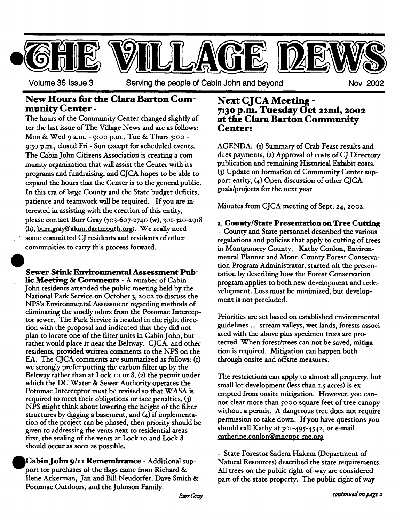

**Volume 36 Issue 3 Serving the people of Cabin John and beyond Nov 2002** 

# **New Hours for the Clara Barton Com- Next CJCA Meeting -**

ter the last issue of The Village News and are as follows: Mon& Wed 9 a.m. - 9:oo p.m., Tue & Thurs 3:oo - 9:30 p.m., closed Fri - Sun except for scheduled events. The Cabin John Citizens Association is creating a com-The hours of the Community Center changed slightly af- at the Clara Barton Community munity organization that will assist the Center with its programs and fundraising, and CJCA hopes to be able to expand the hours that the Center is to the general public. In this era of large County and the State budget deficits, patience and teamwork will be required. If you are interested in assisting with the creation of this entity, please contact Burr Gray *(7o3-6o7-274o* (w), 3oI-32o-2918 (h), burr.gray@alum.dartmouth.org). We really need some committed CJ residents and residents of other communities to carry this process forward.

**Sewer Stink Environmental Assessment Pub-He** Meeting & Comments - A number of Cabin John residents attended the public meeting held by the National Park Service on October 3, 2002 to discuss the NPS's Environmental Assessment regarding methods of eliminating the smelly odors from the Potomac Interceptor sewer. The Park Service is headed in the right direction with the proposal and indicated that they did not plan to locate one of the filter units in Cabin John, but rather would place it near the Beltway. CJCA, and other residents, provided written comments to the NPS on the EA. The CJCA comments are summarized as follows:  $(i)$ we strongly prefer putting the carbon filter up by the Beltway rather than at Lock Io or 8, (2) the permit under which the DC Water & Sewer Authority operates the Potomac Interceptor must be revised so that WASA is required to meet their obligations or face penalties, (3) NPS might think about lowering the height of the filter structures by digging a basement, and (4) if implementation of the project can be phased, then priority should be given to addressing the vents next to residential **areas**  first; the sealing of the vents at Lock io and Lock 8 should occur as soon as possible.

**OCabinJohn 9/11 Remembrance** - Additional support for purchases of the flags came from Richard & Ilene Ackerman, Jan and Bill Neudorfer, Dave Smith & Potomac Outdoors, and the Johnson Family.

# **munity Center - 7:3 ° p.m. Tuesday Oct 22rid, 2002 Center:**

AGENDA: (I) Summary of Crab Feast results and dues payments, (2) Approval of costs of CJ Directory publication and remaining Historical Exhibit costs, (3) Update on formation of Community Center support entity, (4) Open discussion of other CJCA goals/projects for the next year

Minutes from CJCA meeting of Sept. 24, 2002:

a. County/State **Presentation on Tree** Cutting - County and State personnel described the various regulations and policies that apply to cutting of **trees**  in Montgomery County. Kathy Conlon, Environmental Planner and Mont. County Forest Conservation Program Administrator, started off the presentation by describing how the Forest Conservation program applies to both new development and **redevelopment.** Loss must be minimized, but development is not precluded.

Priorities are set based on established environmental guidelines ... stream valleys, wet lands, forests associated with the above plus specimen trees are protected. When forest/trees can not be saved, mitigation is required. Mitigation can happen both through onsite and offsite measures.

The restrictions can apply to almost all property, but small lot development (less than  $1.5$  acres) is exempted from onsite mitigation. However, you cannot clear more than 5ooo square feet of tree canopy without a permit. A dangerous tree does not require permission to take down. If you have questions you should call Kathy at 3oi-495-4542, or e-mail catherine.conlon@mncppc-mc.org - <del>. v . v . v . v . v . v . v</del>

**-** State Forestor Sadem Hakem (Department of Natural Resources) described the state requirements. All trees on the public right-of-way are considered part of the state property. The public right of way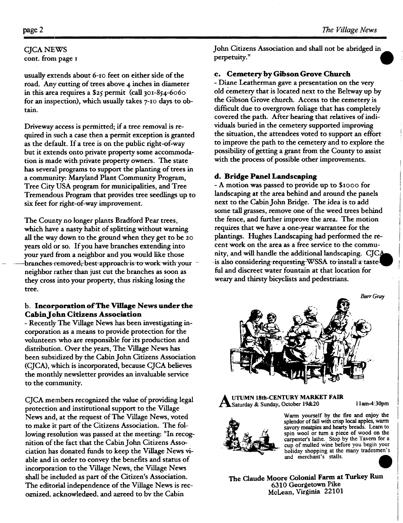## CJCA NEWS

cont. from page i

usually extends about 6-10 feet on either side of the road. Any cutting of trees above 4 inches in diameter in this area requires a  $$25$  permit (call 301-854-6060 for an inspection), which usually takes  $7$ -10 days to obtain.

Driveway access is permitted; if a tree removal is required in such a case then a permit exception is granted as the default. If a tree is on the public right-of-way but it extends onto private property some accommodation is made with private property owners. The state has several programs to support the planting of trees in a community: Maryland Plant Community Program, Tree City USA program for municipalities, and Tree Tremendous Program that provides tree seedlings up to six feet for right-of-way improvement.

The County no longer plants Bradford Pear trees, which have a nasty habit of splitting without warning all the way down to the ground when they get to be 2o years old or so. If you have branches extending into your yard from a neighbor and you would like those -branches-removed, best-approach-is-to work-with-your neighbor rather than just cut the branches as soon as they cross into your property, thus risking losing the tree.

#### **b. Incorporation of The Village News under the**  Cabin John Citizens **Association**

- Recently' The Village News has been investigating incorporation as a means to provide protection for the volunteers who are responsible for its production and distribution. Over the years, The Village News has been subsidized by the Cabin John Citizens Association (CJCA), which is incorporated, because CJCA believes the monthly newsletter provides an invaluable service to the coramunity.

CJCA members recognized the value of providing legal protection and institutional support to the Village News and, at the request of The Village News, voted to make it part of the Citizens Association. The following resolution was passed at the meeting: "In recognition of the fact that the Cabin John Citizens Association has donated funds to keep the Village News viable and in order to convey the benefits and status of incorporation to the Village News, the Village News shall be included as part of the Citizen's Association. The editorial independence of the Village News is recognized, acknowledged, and agreed to by the Cabin

John Citizens Association and shall not be abridged in perpetuity."

#### **e. Cemetery by Gibson Grove Church**

**-** Diane Leatherman gave a presentation on the very old cemetery that is located next to the Beltway up by the Gibson Grove church. Access to the cemetery is difficult due to overgrown foliage that has completely covered the path. After hearing that relatives of individuals buried in the cemetery supported improving the situation, the attendees voted to support an effort to improve the path to the cemetery and to explore the possibility of getting a grant from the County to assist with the process of possible other improvements.

#### **d. Bridge Panel Landscaping**

**-** A motion was passed to provide up to \$xooo for landscaping at the area behind and around the panels next to the Cabin John Bridge. The idea is to add some tall grasses, remove one of the weed trees behind the fence, and further improve the area. The motion requires that we have a one-year warrantee for the plantings. Hughes Landscaping had performed the recent work on the area as a free service to the community, and will handle the additional landscaping.  $CJCA$ -is also considering requesting-WSSA to install a tastefill and discreet water fountain at that location for weary and thirsty bicyclists and pedestrians.



**UTUMN 18th-CENTURY MARKET FAIR** Saturday & Sunday, October 19&20 **1 lam-4:3Opm** 



Warm yourself by the fire and enjoy the splendor of fall with crisp local apples, warm savory meatpies and hearty breads. Learn to spin wool or turn a piece of wood on the carpenter's lathe. Stop by the Tavern for a cup of mulled wine before you begin your holiday shopping at the many tradesmen's and merchant's stalls.



**The Claude** Moore Colonial **Farm at Turkey** Run 6310 Georgetown Pike McLean, Virginia 22101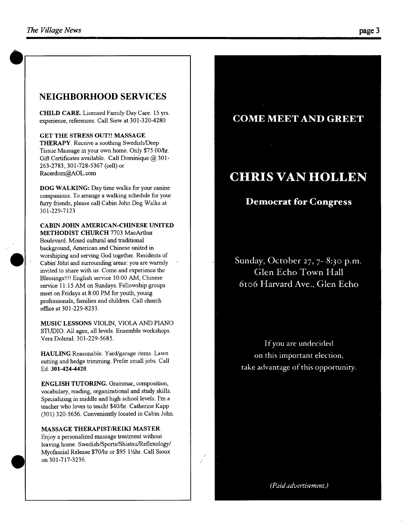#### **NEIGHBORHOOD SERVICES**

CHILD CARE. Licensed Family Day Care. 15 yrs. experience, references. Call Siew at 301-320-4280.

GET THE STRESS OUT!! MASSAGE THERAPY. Receive a soothing Swedish/Deep Tissue Massage in your own home. Only \$75.00/hr. Gift Certificates available. Call Dominique  $(2)$  301-263-2783; 301-728-5367 (cell) or Racerdom@AOL.com

DOG WALKING: Day time walks for your canine companions. To arrange a walking schedule for your furry friends, please call Cabin John Dog Walks at 301-229-7123

**CABIN JOHN AMERICAN-CHINESE UNITED**  METHODIST CHURCH 7703 MacArthur Boulevard. Mixed cultural and traditional background, American and Chinese united in worshiping and serving God together. Residents of Cabin John and surrounding areas: you are warmly invited to share with us. Come and experience the Blessings!!!! English service 10:00 AM, Chinese service 11:15 AM on Sundays. Fellowship groups meet on Fridays at 8:00 PM for youth, young professionals, families and children. Call church office at 301-229-8233.

MUSIC LESSONS VIOLIN, VIOLA AND PIANO STUDIO. All ages, all levels. Ensemble workshops. Vera Dolezal. 301-229-5685.

HAULING Reasonable. Yard/garage items. Lawn cutting and hedge trimming. Prefer small jobs. Call Ed. **301-424-4420.** 

**ENGLISH** TUTORING. Grammar, composition, vocabulary, reading, organizational and study skills. Specializing in middle and high school levels. I'm a teacher who loves to teach! \$40/hr. Catherine Kapp (301) 320-5656. Conveniently located in Cabin John.

**MASSAGE THERAPIST/REIKI MASTER.**  Enjoy a personalized massage treatment without leaving home. Swedish/Sports/Shiatsu/Reflexology/ Myofascial Release \$70/hr or \$95 1%hr. Call Sioux on 301-717-3236.

**COME MEET AND GREET** 

### **CHRIS VAN HOLLEN**

#### **Democrat for Congress**

**Sunday, October 27, 7- 8:30 p.m. Glen Echo Town Hall 6io6 Harvard Ave., Glen Echo** 

If you are undecided on this important election, take advantage of this opportunity.

*(Paid advertisement.)* 

*/ /*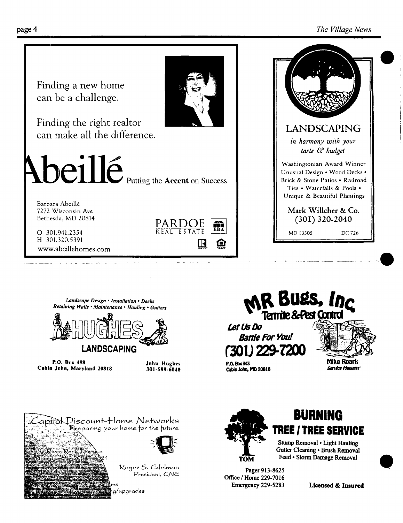#### page 4 *The Village News*



الأرادي الداعية

*Landscape Design • Installation • Decks Retain'ing Walls • Maintenance • Hauling • Gutters* 

المتحدث المستنصر فسيمهض الانتاذان المنادر المناسب



**P.O. Box 498 John Hughes Cabin John, Maryland 20818 301-589-6040** 



**MR BUES, Inc.**<br>Tamite & Pest Cantrol



## **BURNING TREE I TREE SERVICE**

**Stump Removal • Light Hauling Gutter Cleaning • Brush Removal Feed • Storm Damage Removal** 

**Pager 913-8625 Office / Home 229-7016**  Emergency 229-5283

**Licensed & Insured** 



 $\mathcal{L}$ apifo $\downarrow$ Discount-Home Networks Beeparing your home for the future. Roger S, Edelman President, CNE 'upgrades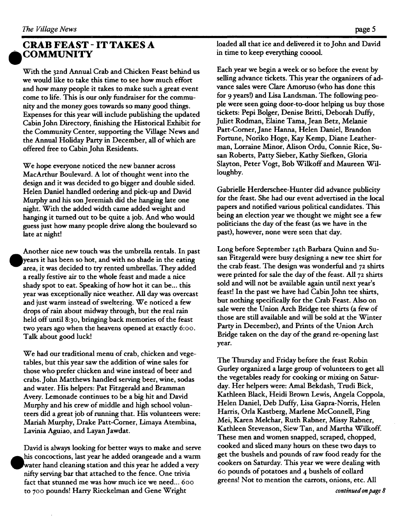#### **CRAB FEAST - IT TAKES A COMMUNITY**

With the 32nd Annual Crab and Chicken Feast behind us we would like to take this time to see how much effort and how many people it takes to make such a great event come to life. This is our only fundraiser for the community and the money goes towards so many good things. Expenses for this year will include publishing the updated Cabin John Directory, finishing the Historical Exhibit for the Community Center, supporting the Village News and the Annual Holiday Party in December, all of which are offered free to Cabin John Residents.

We hope everyone noticed the new banner across MacArthur Boulevard. A lot of thought went into the design and it was decided to go bigger and double sided. Helen Daniel handled ordering and pick-up and David Murphy and his son Jeremiah did the hanging late one night. With the added width came added weight and hanging it turned out to be quite a job. And who would guess just how many people drive along the boulevard so late at night!

Another nice new touch was the umbrella rentals. In past years it has been so hot, and with no shade in the eating area, it was decided to try rented umbrellas. They added a really festive air to the whole feast and made a nice shady spot to eat. Speaking of how hot it can be... this year was exceptionally nice weather. All day was overcast and just warm instead of sweltering. We noticed a few drops of rain about midway through, but the real rain held off until 8:3o, bringing back memories of the feast two years ago when the heavens opened at exactly 6:oo. Talk about good luck!

We had our traditional menu of crab, chicken and vegetables, but this year saw the addition of wine sales for those who prefer chicken and wine instead of beer and crabs. John Matthews handled serving beer, wine, sodas and water. His helpers: Pat Fitzgerald and Bramman Avery. Lemonade continues to be a big hit and David Murphy and his crew of middle and high school volunteers did a great job of running that. His volunteers were: Mariah Murphy, Drake Patt-Corner, Limaya Atembina, Lavinia Aguiao, and Layan Jawdat.

David is always looking for better ways to make and serve his concoctions, last year he added orangeade and a warm water hand cleaning station and this year he added a very nifty serving bar that attached to the fence. One trivia fact that stunned me was how much ice we need... 6oo to 7oo pounds! Harry Rieckelman and Gene Wright

loaded all that ice and delivered it to John and David in time to keep everything cooool.

Each year we begin a week or so before the event by selling advance tickets. This year the organizers of advance sales were Clare Amoruso (who has done this for 9 years!) and Lisa Landsman. The following people were seen going door-to-door helping us buy those tickets: Pepi Bolger, Denise Britti, Deborah Duffy, Juliet Rodman, Elaine Tama, Jean Betz, Melanie Patt-Comer, Jane Hanna, Helen Daniel, Brandon Fortune, Noriko Hoge, Kay Kemp, Diane Leatherman, Lorraine Minor, Alison Ordu, Connie Rice, Susan Roberts, Patty Sieber, Kathy Siefken, Gloria Slayton, Peter Vogt, Bob Wilkoff and Maureen Willoughby.

Gabrielle Herderschee-Hunter did advance publicity for the feast. She had our event advertised in the local papers and notified various political candidates. This being an election year we thought we might see a few politicians the day of the feast (as we have in the past), however, none were seen that day.

Long before September I4th Barbara Quinn and Susan Fitzgerald were busy designing a new tee shirt for the crab feast. The design was wonderful and 72 shirts were printed for sale the day of the feast. All 72 shirts sold and will not be available again until next year's feast! In the past we have had Cabin John tee shirts, but nothing specifically for the Crab Feast. Also on sale were the Union Arch Bridge tee shirts (a few of those are still available and will be sold at the Winter Party in December), and Prints of the Union Arch Bridge taken on the day of the grand re-opening last year.

The Thursday and Friday before the feast Robin Gurley organized a large group of volunteers to get all the vegetables ready for cooking or mixing on Saturday. Her helpers were: Amal Bekdash, Trudi Bick, Kathleen Black, Heidi Brown Lewis, Angela Coppola, Helen Daniel, Deb Duffy, Lisa Gapra-Norris, Helen Harris, Orla Kastberg, Marlene McConneU, Ping Mei, Karen Melchar, Ruth Rabner, Missy Rabner, Kathleen Stevenson, Siew Tan, and Martha Wilkoff. These men and women snapped, scraped, chopped, cooked and sliced many hours on these two days to get the bushels and pounds of raw food ready for the cookers on Saturday. This year we were dealing with 6o pounds of potatoes and 4 bushels of collard greens! Not to mention the carrots, onions, etc. All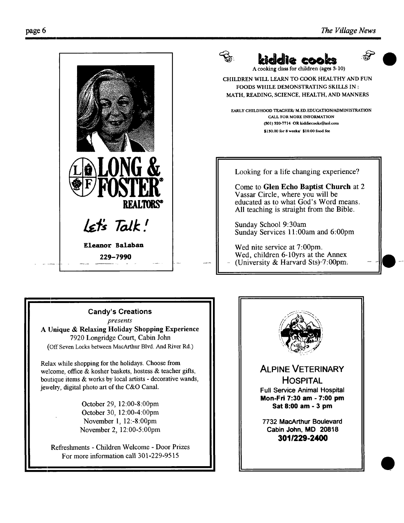

#### **Candy's Creations**

*presents* 

A Unique & Relaxing Holiday Shopping **Experience**  7920 Longridge Court, Cabin John (Off Seven Locks between MacArthur Blvd. And River Rd.)

Relax while shopping for the holidays. Choose from welcome, office  $\&$  kosher baskets, hostess  $\&$  teacher gifts, boutique items & works by local artists - decorative wands, jewelry, digital photo art of the C&O Canal.

> October 29, 12:00-8:00pm October 30, 12:00-4:00pm November 1, 12:-8:00pm November 2, 12:00-5:00pm

Refreshments - Children Welcome - Door Prizes For more information call 301-229-9515

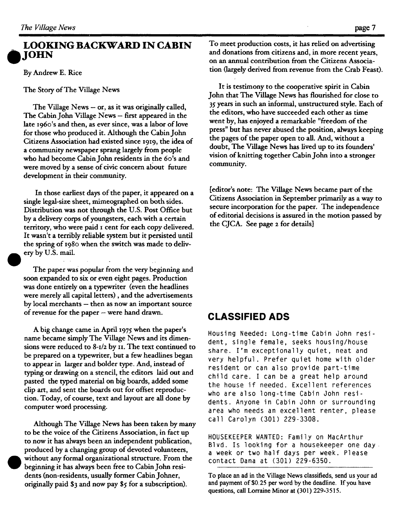#### **LOOKING BACKWARD IN CABIN ,JOHN**

By Andrew E. Rice

The Story of The Village News

The Village News  $-$  or, as it was originally called, The Cabin John Village News - first appeared in the late i96o's and then, as ever since, was a labor of love for those who produced it. Although the Cabin John Citizens Association had existed since I919, the idea of a community newspaper sprang largely from people who had become Cabin John residents in the 6o's and were moved by a sense of civic concern about future development in their community.

In those earliest days of the paper, it appeared on a single legal-size sheet, mimeographed on both sides. Distribution was not through the U.S. Post Office but by a delivery corps of youngsters, each with a certain territory, who were paid I cent for each copy delivered. It wasn't a terribly reliable system but it persisted until the spring of I98o when the switch was made to delivery by U.S. mail.

The paper was popular from the very beginning and soon expanded to six or even eight pages. Production was done entirely on a typewriter (even the headlines were merely all capital letters), and the advertisements by local merchants - then as now an important source of revenue for the paper - were hand drawn.

A big change came in April i975 when the paper's name became simply The Village News and its dimensions were reduced to 8-1/2 by H. The text continued to be prepared on a typewriter, but a few headlines began to appear in larger and bolder type. And, instead of typing or drawing on a stencil, the editors laid out and pasted the typed material on big boards, added some clip art, and sent the boards out for offset reproduction. Today, of course, text and layout are all done by computer word processing.

Although The Village News has been taken by many to be the voice of the Citizens Association, in fact up to now it has always been an independent publication, produced by a changing group of devoted volunteers, without any formal organizational structure. From the beginning it has always been free to Cabin John residents (non-residents, usually former Cabin Johner, originally paid \$3 and now pay \$5 for a subscription).

To meet production costs, it has relied on advertising and donations from citizens and, in more recent years, on an annual contribution from the Citizens Association (largely derived from revenue from the Crab Feast).

It is testimony to the cooperative spirit in Cabin John that The Village News has flourished for close to 35 years in such an informal, unstructured style. Each of the editors, who have succeeded each other as time went by, has enjoyed a remarkable "freedom of the press" but has never abused the position, always keeping the pages of the paper open to all. And, without a doubt, The Village News has lived up to its founders' vision of knitting together Cabin John into a stronger community.

[editor's note: The Village News became part of the Citizens Association in September primarily as a way to secure incorporation for the paper. The independence of editorial decisions is assured in the motion passed by the CJCA. See page z for details]

#### **CLASSIFIED ADS**

Housing Needed: Long-time Cabin John resident, single female, seeks housing/house share, l'm exceptionally quiet, neat and very helpful. Prefer quiet home with older resident or can also provide part-time child care. I can be a great help around the house if needed. Excellent references who are also long-time Cabin John residents. Anyone in Cabin John or surrounding area who needs an excellent renter, please call Carolyn (301) 229-3308.

HOUSEKEEPER WANTED: Family on MacArthur Blvd. Is looking for a housekeeper one day a week or two half days per week. Please contact Dana at (301) 229-6350.

To place an ad in the Village News classifieds, send us your ad and payment of \$0.25 per word by the deadline. If you have questions, call Lorraine Minor at (301) 229-3515.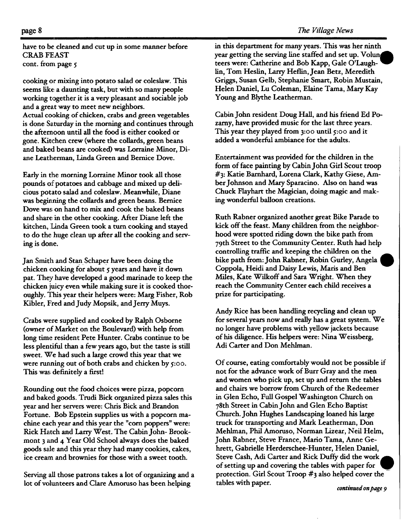have to be cleaned and cut up in some manner before CRAB FEAST cont. from page 5

cooking or mixing into potato salad or coleslaw. This seems like. a daunting task, but with so many people working together it is a very pleasant and sociable job and a great way to meet new neighbors. Actual cooking of chicken, crabs and green vegetables is done Saturday in the morning and continues through the afternoon until all the food is either cooked or gone. Kitchen crew (where the collards, green beans and baked beans are cooked) was Lorraine Minor, Diane Leatherman, Linda Green and Bernice Dove.

Early in the morning Lorraine Minor took all those pounds of potatoes and cabbage and mixed up delicious potato salad and coleslaw. Meanwhile, Diane was beginning the collards and green beans. Bernice Dove was on hand to mix and cook the baked beans and share in the other cooking. After Diane left the kitchen, Linda Green took a turn cooking and stayed to do the huge clean up after all the cooking and serving is done.

Jan Smith and Stan\_ Schaper have been doing the chicken cooking for about 5 years and have it down pat. They have developed a good marinade to keep the chicken juicy even while making sure it is cooked thoroughly. This year their helpers were: Marg Fisher, Rob Kibler, Fred and Judy Mopsik, and Jerry Muys.

Crabs were supplied and cooked by Ralph Osborne (owner of Market on the Boulevard) with help from long time resident Pete Hunter. Crabs continue to be less plentiful than a few years ago, but the taste is still sweet. We had such a large crowd this year that we were running out of both crabs and chicken by  $5:00$ . This was definitely a first!

Rounding out the food choices were pizza, popcorn and baked goods. Trudi Bick organized pizza sales this year and her servers were: Chris Bick and Brandon Fortune. Bob Epstein supplies us with a popcorn machine each year and this year the "corn poppers" were: Rick Hatch and Larry West. The Cabin John- Brookmont 3 and 4 Year Old School always does the baked goods sale and this year they had many cookies, cakes, ice cream and brownies for those with a sweet tooth.

Serving all those patrons takes a lot of organizing and a lot of volunteers and Clare Amoruso has been helping

in this department for many years. This was her ninth year getting the serving line staffed and set up. Volum teers were: Catherine and Bob Kapp, Gale O'Laughlin, Tom Heslin, Larry Heflin, Jean Betz, Meredith Griggs, Susan Gelb, Stephanie Smart, Robin Mustain, Helen Daniel, Lu Coleman, Elaine Tama, Mary Kay Young and Blythe Leatherman.

Cabin John resident Doug Hall, and his friend Ed Pozamy, have provided music for the last three years. This year they played from 3:oo until 5:00 and it added a wonderful ambiance for the adults.

Entertainment was provided for the children in the form of face painting by Cabin John Girl Scout troop #3: Katie Bamhard, Lorena Clark, Kathy Giese, Amber Johnson and Mary Sparacino. Also on hand was Chuck Flayhart the Magician, doing magic and making wonderful balloon creations.

Ruth Rabner organized another great Bike Parade to kick off the feast. Many children from the neighborhood were spotted riding down the bike path from 79th Street to the Community Center. Ruth had help controlling traffic and keeping the children on the bike path from: John Rabner, Robin Gurley, Angela Coppola, Heidi and Daisy Lewis, Maris and Ben Miles, Kate Wilkoff and Sara Wright. When they reach the Community Center each child receives a prize for participating.

Andy Rice has been handling recycling and clean up for several years now and really has a great system. We no longer have problems with yellow jackets because of his diligence. His helpers were: Nina Weissberg, Adi Carter and Don Mehlman.

Of course, eating comfortably would not be possible if not for the advance work of Burr Gray and the men and women who pick up, set up and return the tables and chairs we borrow from Church of the Redeemer in Glen Echo, Full Gospel Washington Church on 78th Street in Cabin John and Glen Echo Baptist Church. John Hughes Landscaping loaned his large truck for transporting and Mark Leatherman, Don Mehlman, Phil Amoruso, Norman Lizear, Neil Helm, John Rabner, Steve France, Mario Tama, Anne Gehrett, Gabrielle Herderschee-Hunter, Helen Daniel, Steve Cash, Adi Carter and Rick Duffy did the work of setting up and covering the tables with paper for protection. Girl Scout Troop  $#_3$  also helped cover the tables with paper.

*continued on page 9*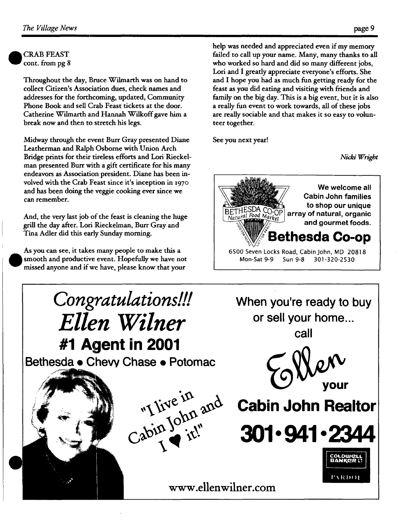**CRAB FEAST** cont. from pg 8

Throughout the day, Bruce Wilmarth was on hand to collect Citizen's Association dues, check names and addresses for the forthcoming, updated, Community Phone Book and sell Crab Feast tickets at the door. Catherine Wilmarth and Hannah Wilkoff gave him a break now and then to stretch his legs.

Midway through the event Burr Gray presented Diane Leatherman and Ralph Osborne with Union Arch Bridge prints for their tireless efforts and Lori Rieckelman presented Burr with a gift certificate for his many endeavors as Association president. Diane has been involved with the Crab Feast since it's inception in x97o and has been doing the veggie cooking ever since we can remember.

And, the very last job of the feast is cleaning the huge grill the day after. Lori Rieckelman, Burr Gray and Tina Adler did this early Sunday morning.

As you can see, it takes many people to make this a smooth and productive event. Hopefully we have not missed anyone and if we have, please know that your

help was needed and appreciated even if my memory failed to call up your name. Many, many thanks to all who worked so hard and did so many different jobs, Lori and I greatly appreciate everyone's efforts. She and I hope you had as much fun getting ready for the feast as you did eating and visiting with friends and family on the big day. This is a big event, but it is also a really fun event to work towards, all of these jobs are really sociable and that makes it so easy to volunteer together.

See you next year!

*Nicki Wright*